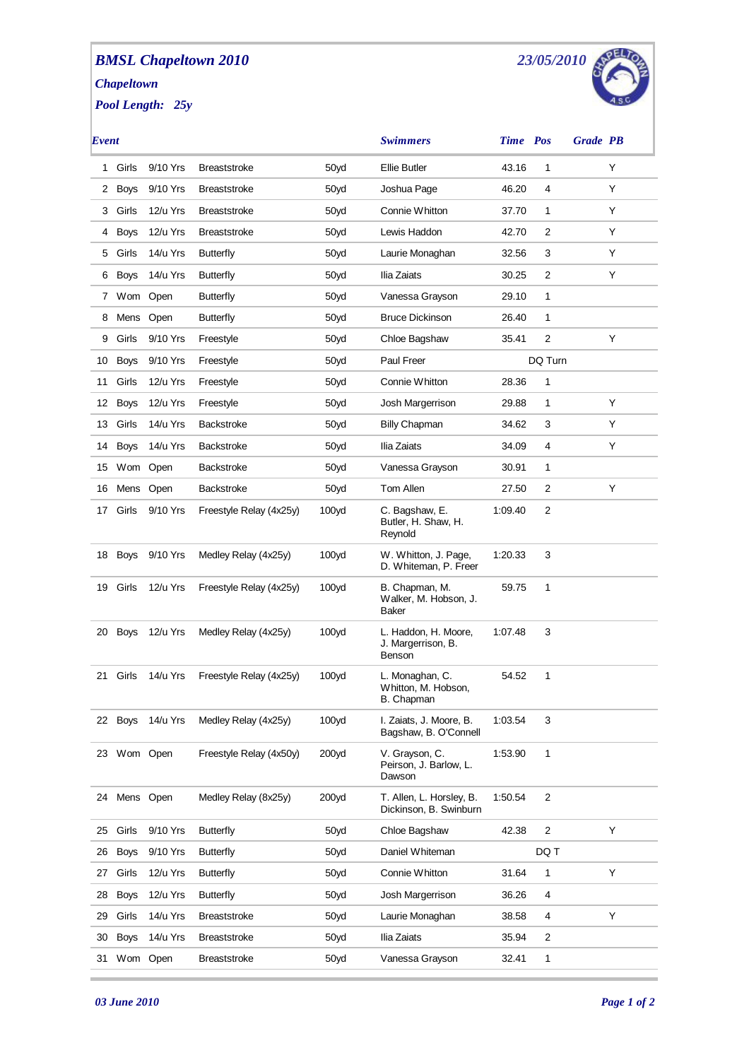## *BMSL Chapeltown 2010 Chapeltown*

*Pool Length: 25y*



| Event |             |          |                         |                   | <b>Swimmers</b>                                      | Time Pos |                  | <b>Grade PB</b> |   |
|-------|-------------|----------|-------------------------|-------------------|------------------------------------------------------|----------|------------------|-----------------|---|
| 1.    | Girls       | 9/10 Yrs | <b>Breaststroke</b>     | 50yd              | <b>Ellie Butler</b>                                  | 43.16    | 1                |                 | Υ |
|       | 2 Boys      | 9/10 Yrs | <b>Breaststroke</b>     | 50yd              | Joshua Page                                          | 46.20    | 4                |                 | Y |
| 3     | Girls       | 12/u Yrs | <b>Breaststroke</b>     | 50yd              | Connie Whitton                                       | 37.70    | 1                |                 | Y |
| 4     | <b>Boys</b> | 12/u Yrs | <b>Breaststroke</b>     | 50yd              | Lewis Haddon                                         | 42.70    | 2                |                 | Y |
| 5     | Girls       | 14/u Yrs | <b>Butterfly</b>        | 50yd              | Laurie Monaghan                                      | 32.56    | 3                |                 | Y |
|       | 6 Boys      | 14/u Yrs | <b>Butterfly</b>        | 50yd              | Ilia Zaiats                                          | 30.25    | $\overline{c}$   |                 | Y |
|       | 7 Wom Open  |          | <b>Butterfly</b>        | 50yd              | Vanessa Grayson                                      | 29.10    | 1                |                 |   |
| 8     | Mens Open   |          | <b>Butterfly</b>        | 50yd              | <b>Bruce Dickinson</b>                               | 26.40    | 1                |                 |   |
| 9     | Girls       | 9/10 Yrs | Freestyle               | 50yd              | Chloe Bagshaw                                        | 35.41    | $\overline{2}$   |                 | Y |
| 10    | <b>Boys</b> | 9/10 Yrs | Freestyle               | 50yd              | Paul Freer                                           |          | DQ Turn          |                 |   |
| 11    | Girls       | 12/u Yrs | Freestyle               | 50yd              | Connie Whitton                                       | 28.36    | 1                |                 |   |
| 12    | <b>Boys</b> | 12/u Yrs | Freestyle               | 50yd              | Josh Margerrison                                     | 29.88    | 1                |                 | Υ |
| 13    | Girls       | 14/u Yrs | <b>Backstroke</b>       | 50yd              | <b>Billy Chapman</b>                                 | 34.62    | 3                |                 | Y |
| 14    | <b>Boys</b> | 14/u Yrs | <b>Backstroke</b>       | 50yd              | Ilia Zaiats                                          | 34.09    | 4                |                 | Y |
| 15    | Wom Open    |          | <b>Backstroke</b>       | 50yd              | Vanessa Grayson                                      | 30.91    | 1                |                 |   |
| 16    | Mens Open   |          | Backstroke              | 50yd              | Tom Allen                                            | 27.50    | 2                |                 | Υ |
| 17    | Girls       | 9/10 Yrs | Freestyle Relay (4x25y) | 100 <sub>yd</sub> | C. Bagshaw, E.<br>Butler, H. Shaw, H.<br>Reynold     | 1:09.40  | 2                |                 |   |
| 18    | <b>Boys</b> | 9/10 Yrs | Medley Relay (4x25y)    | 100 <sub>yd</sub> | W. Whitton, J. Page,<br>D. Whiteman, P. Freer        | 1:20.33  | 3                |                 |   |
| 19    | Girls       | 12/u Yrs | Freestyle Relay (4x25y) | 100 <sub>yd</sub> | B. Chapman, M.<br>Walker, M. Hobson, J.<br>Baker     | 59.75    | 1                |                 |   |
| 20    | Boys        | 12/u Yrs | Medley Relay (4x25y)    | 100 <sub>yd</sub> | L. Haddon, H. Moore,<br>J. Margerrison, B.<br>Benson | 1:07.48  | 3                |                 |   |
| 21    | Girls       | 14/u Yrs | Freestyle Relay (4x25y) | 100yd             | L. Monaghan, C.<br>Whitton, M. Hobson,<br>B. Chapman | 54.52    | 1                |                 |   |
| 22    | <b>Boys</b> | 14/u Yrs | Medley Relay (4x25y)    | 100 <sub>yd</sub> | I. Zaiats, J. Moore, B.<br>Bagshaw, B. O'Connell     | 1:03.54  | 3                |                 |   |
|       | 23 Wom Open |          | Freestyle Relay (4x50y) | 200 <sub>yd</sub> | V. Grayson, C.<br>Peirson, J. Barlow, L.<br>Dawson   | 1:53.90  | 1                |                 |   |
| 24    | Mens Open   |          | Medley Relay (8x25y)    | 200 <sub>yd</sub> | T. Allen, L. Horsley, B.<br>Dickinson, B. Swinburn   | 1:50.54  | $\overline{c}$   |                 |   |
| 25    | Girls       | 9/10 Yrs | <b>Butterfly</b>        | 50yd              | Chloe Bagshaw                                        | 42.38    | $\boldsymbol{2}$ |                 | Υ |
| 26    | <b>Boys</b> | 9/10 Yrs | <b>Butterfly</b>        | 50yd              | Daniel Whiteman                                      |          | DQ T             |                 |   |
| 27    | Girls       | 12/u Yrs | <b>Butterfly</b>        | 50yd              | Connie Whitton                                       | 31.64    | 1                |                 | Υ |
| 28    | <b>Boys</b> | 12/u Yrs | <b>Butterfly</b>        | 50yd              | Josh Margerrison                                     | 36.26    | 4                |                 |   |
| 29    | Girls       | 14/u Yrs | <b>Breaststroke</b>     | 50yd              | Laurie Monaghan                                      | 38.58    | 4                |                 | Υ |
| 30    | <b>Boys</b> | 14/u Yrs | <b>Breaststroke</b>     | 50yd              | Ilia Zaiats                                          | 35.94    | $\overline{c}$   |                 |   |
| 31    | Wom Open    |          | <b>Breaststroke</b>     | 50yd              | Vanessa Grayson                                      | 32.41    | 1                |                 |   |
|       |             |          |                         |                   |                                                      |          |                  |                 |   |